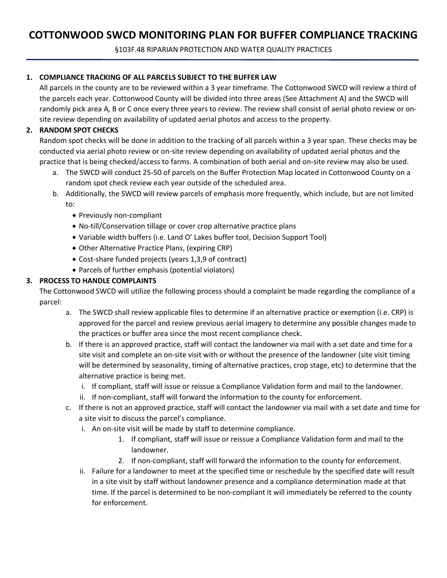# **COTTONWOOD SWCD MONITORING PLAN FOR BUFFER COMPLIANCE TRACKING**

§103F.48 RIPARIAN PROTECTION AND WATER QUALITY PRACTICES

## **1. COMPLIANCE TRACKING OF ALL PARCELS SUBJECT TO THE BUFFER LAW**

All parcels in the county are to be reviewed within a 3 year timeframe. The Cottonwood SWCD will review a third of the parcels each year. Cottonwood County will be divided into three areas (See Attachment A) and the SWCD will randomly pick area A, B or C once every three years to review. The review shall consist of aerial photo review or onsite review depending on availability of updated aerial photos and access to the property.

# **2. RANDOM SPOT CHECKS**

Random spot checks will be done in addition to the tracking of all parcels within a 3 year span. These checks may be conducted via aerial photo review or on-site review depending on availability of updated aerial photos and the practice that is being checked/access to farms. A combination of both aerial and on-site review may also be used.

- a. The SWCD will conduct 25-50 of parcels on the Buffer Protection Map located in Cottonwood County on a random spot check review each year outside of the scheduled area.
- b. Additionally, the SWCD will review parcels of emphasis more frequently, which include, but are not limited to:
	- Previously non-compliant
	- No-till/Conservation tillage or cover crop alternative practice plans
	- Variable width buffers (i.e. Land O' Lakes buffer tool, Decision Support Tool)
	- Other Alternative Practice Plans, (expiring CRP)
	- Cost-share funded projects (years 1,3,9 of contract)
	- Parcels of further emphasis (potential violators)

## **3. PROCESS TO HANDLE COMPLAINTS**

The Cottonwood SWCD will utilize the following process should a complaint be made regarding the compliance of a parcel:

- a. The SWCD shall review applicable files to determine if an alternative practice or exemption (i.e. CRP) is approved for the parcel and review previous aerial imagery to determine any possible changes made to the practices or buffer area since the most recent compliance check.
- b. If there is an approved practice, staff will contact the landowner via mail with a set date and time for a site visit and complete an on-site visit with or without the presence of the landowner (site visit timing will be determined by seasonality, timing of alternative practices, crop stage, etc) to determine that the alternative practice is being met.
	- i. If compliant, staff will issue or reissue a Compliance Validation form and mail to the landowner.
	- ii. If non-compliant, staff will forward the information to the county for enforcement.
- c. If there is not an approved practice, staff will contact the landowner via mail with a set date and time for a site visit to discuss the parcel's compliance.
	- i. An on-site visit will be made by staff to determine compliance.
		- 1. If compliant, staff will issue or reissue a Compliance Validation form and mail to the landowner.
		- 2. If non-compliant, staff will forward the information to the county for enforcement.
	- ii. Failure for a landowner to meet at the specified time or reschedule by the specified date will result in a site visit by staff without landowner presence and a compliance determination made at that time. If the parcel is determined to be non-compliant it will immediately be referred to the county for enforcement.